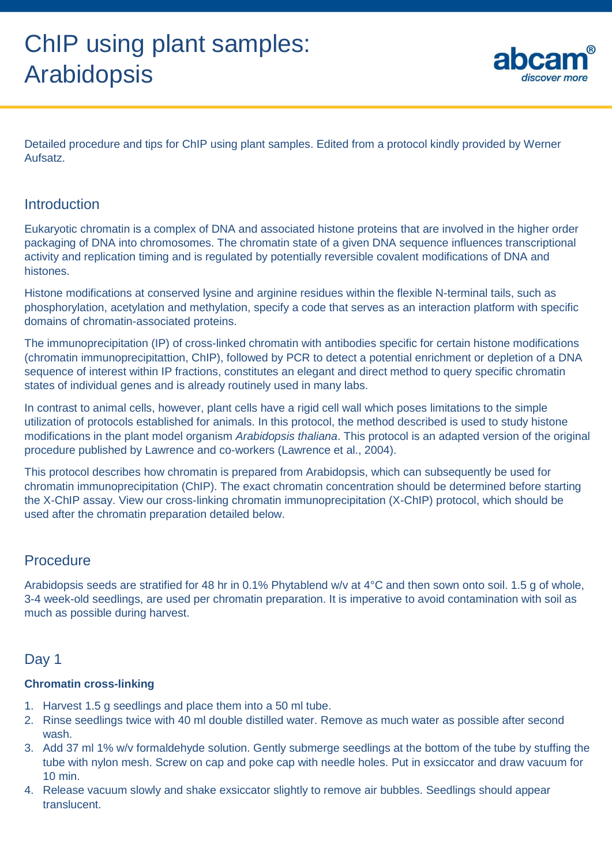

Detailed procedure and tips for ChIP using plant samples. Edited from a protocol kindly provided by Werner Aufsatz.

## Introduction

Eukaryotic chromatin is a complex of DNA and associated histone proteins that are involved in the higher order packaging of DNA into chromosomes. The chromatin state of a given DNA sequence influences transcriptional activity and replication timing and is regulated by potentially reversible covalent modifications of DNA and histones.

Histone modifications at conserved lysine and arginine residues within the flexible N-terminal tails, such as phosphorylation, acetylation and methylation, specify a code that serves as an interaction platform with specific domains of chromatin-associated proteins.

The immunoprecipitation (IP) of cross-linked chromatin with antibodies specific for certain histone modifications (chromatin immunoprecipitattion, ChIP), followed by PCR to detect a potential enrichment or depletion of a DNA sequence of interest within IP fractions, constitutes an elegant and direct method to query specific chromatin states of individual genes and is already routinely used in many labs.

In contrast to animal cells, however, plant cells have a rigid cell wall which poses limitations to the simple utilization of protocols established for animals. In this protocol, the method described is used to study histone modifications in the plant model organism *Arabidopsis thaliana*. This protocol is an adapted version of the original procedure published by Lawrence and co-workers (Lawrence et al., 2004).

This protocol describes how chromatin is prepared from Arabidopsis, which can subsequently be used for chromatin immunoprecipitation (ChIP). The exact chromatin concentration should be determined before starting the X-ChIP assay. View our cross-linking chromatin immunoprecipitation (X-ChIP) protocol, which should be used after the chromatin preparation detailed below.

# **Procedure**

Arabidopsis seeds are stratified for 48 hr in 0.1% Phytablend w/v at 4°C and then sown onto soil. 1.5 g of whole, 3-4 week-old seedlings, are used per chromatin preparation. It is imperative to avoid contamination with soil as much as possible during harvest.

# Day 1

### **Chromatin cross-linking**

- 1. Harvest 1.5 g seedlings and place them into a 50 ml tube.
- 2. Rinse seedlings twice with 40 ml double distilled water. Remove as much water as possible after second wash.
- 3. Add 37 ml 1% w/v formaldehyde solution. Gently submerge seedlings at the bottom of the tube by stuffing the tube with nylon mesh. Screw on cap and poke cap with needle holes. Put in exsiccator and draw vacuum for 10 min.
- 4. Release vacuum slowly and shake exsiccator slightly to remove air bubbles. Seedlings should appear translucent.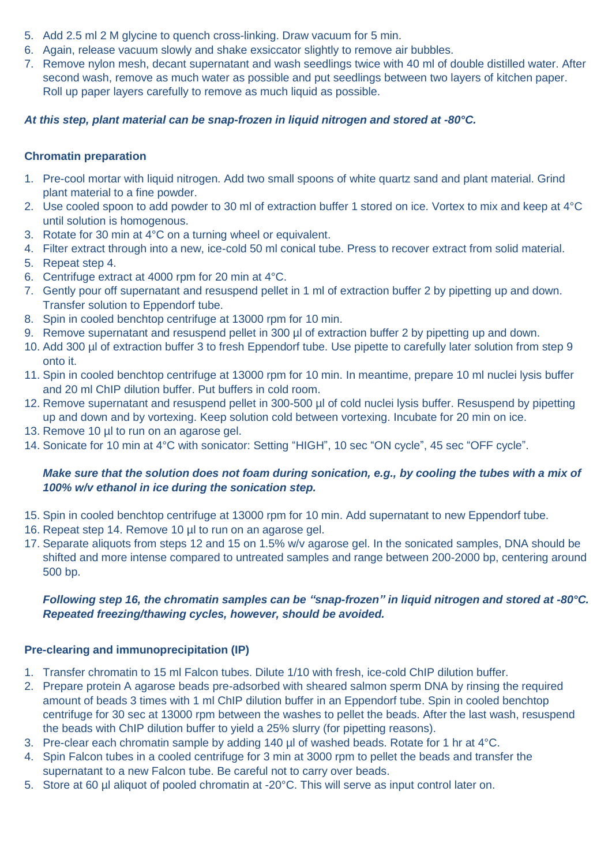- 5. Add 2.5 ml 2 M glycine to quench cross-linking. Draw vacuum for 5 min.
- 6. Again, release vacuum slowly and shake exsiccator slightly to remove air bubbles.
- 7. Remove nylon mesh, decant supernatant and wash seedlings twice with 40 ml of double distilled water. After second wash, remove as much water as possible and put seedlings between two layers of kitchen paper. Roll up paper layers carefully to remove as much liquid as possible.

### *At this step, plant material can be snap-frozen in liquid nitrogen and stored at -80°C.*

### **Chromatin preparation**

- 1. Pre-cool mortar with liquid nitrogen. Add two small spoons of white quartz sand and plant material. Grind plant material to a fine powder.
- 2. Use cooled spoon to add powder to 30 ml of extraction buffer 1 stored on ice. Vortex to mix and keep at 4°C until solution is homogenous.
- 3. Rotate for 30 min at 4°C on a turning wheel or equivalent.
- 4. Filter extract through into a new, ice-cold 50 ml conical tube. Press to recover extract from solid material.
- 5. Repeat step 4.
- 6. Centrifuge extract at 4000 rpm for 20 min at 4°C.
- 7. Gently pour off supernatant and resuspend pellet in 1 ml of extraction buffer 2 by pipetting up and down. Transfer solution to Eppendorf tube.
- 8. Spin in cooled benchtop centrifuge at 13000 rpm for 10 min.
- 9. Remove supernatant and resuspend pellet in 300 µl of extraction buffer 2 by pipetting up and down.
- 10. Add 300 µl of extraction buffer 3 to fresh Eppendorf tube. Use pipette to carefully later solution from step 9 onto it.
- 11. Spin in cooled benchtop centrifuge at 13000 rpm for 10 min. In meantime, prepare 10 ml nuclei lysis buffer and 20 ml ChIP dilution buffer. Put buffers in cold room.
- 12. Remove supernatant and resuspend pellet in 300-500 µl of cold nuclei lysis buffer. Resuspend by pipetting up and down and by vortexing. Keep solution cold between vortexing. Incubate for 20 min on ice.
- 13. Remove 10 µl to run on an agarose gel.
- 14. Sonicate for 10 min at 4°C with sonicator: Setting "HIGH", 10 sec "ON cycle", 45 sec "OFF cycle".

### *Make sure that the solution does not foam during sonication, e.g., by cooling the tubes with a mix of 100% w/v ethanol in ice during the sonication step.*

- 15. Spin in cooled benchtop centrifuge at 13000 rpm for 10 min. Add supernatant to new Eppendorf tube.
- 16. Repeat step 14. Remove 10 µl to run on an agarose gel.
- 17. Separate aliquots from steps 12 and 15 on 1.5% w/v agarose gel. In the sonicated samples, DNA should be shifted and more intense compared to untreated samples and range between 200-2000 bp, centering around 500 bp.

### *Following step 16, the chromatin samples can be "snap-frozen" in liquid nitrogen and stored at -80°C. Repeated freezing/thawing cycles, however, should be avoided.*

### **Pre-clearing and immunoprecipitation (IP)**

- 1. Transfer chromatin to 15 ml Falcon tubes. Dilute 1/10 with fresh, ice-cold ChIP dilution buffer.
- 2. Prepare protein A agarose beads pre-adsorbed with sheared salmon sperm DNA by rinsing the required amount of beads 3 times with 1 ml ChIP dilution buffer in an Eppendorf tube. Spin in cooled benchtop centrifuge for 30 sec at 13000 rpm between the washes to pellet the beads. After the last wash, resuspend the beads with ChIP dilution buffer to yield a 25% slurry (for pipetting reasons).
- 3. Pre-clear each chromatin sample by adding 140 µl of washed beads. Rotate for 1 hr at 4°C.
- 4. Spin Falcon tubes in a cooled centrifuge for 3 min at 3000 rpm to pellet the beads and transfer the supernatant to a new Falcon tube. Be careful not to carry over beads.
- 5. Store at 60 µl aliquot of pooled chromatin at -20°C. This will serve as input control later on.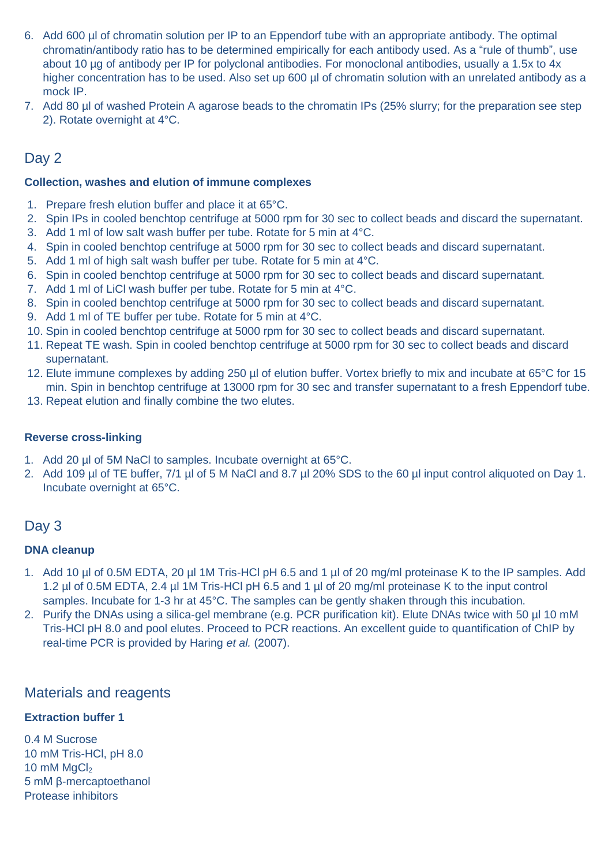- 6. Add 600 µl of chromatin solution per IP to an Eppendorf tube with an appropriate antibody. The optimal chromatin/antibody ratio has to be determined empirically for each antibody used. As a "rule of thumb", use about 10 µg of antibody per IP for polyclonal antibodies. For monoclonal antibodies, usually a 1.5x to 4x higher concentration has to be used. Also set up 600 µl of chromatin solution with an unrelated antibody as a mock IP.
- 7. Add 80 µl of washed Protein A agarose beads to the chromatin IPs (25% slurry; for the preparation see step 2). Rotate overnight at 4°C.

# Day 2

### **Collection, washes and elution of immune complexes**

- 1. Prepare fresh elution buffer and place it at 65°C.
- 2. Spin IPs in cooled benchtop centrifuge at 5000 rpm for 30 sec to collect beads and discard the supernatant.
- 3. Add 1 ml of low salt wash buffer per tube. Rotate for 5 min at 4°C.
- 4. Spin in cooled benchtop centrifuge at 5000 rpm for 30 sec to collect beads and discard supernatant.
- 5. Add 1 ml of high salt wash buffer per tube. Rotate for 5 min at 4°C.
- 6. Spin in cooled benchtop centrifuge at 5000 rpm for 30 sec to collect beads and discard supernatant.
- 7. Add 1 ml of LiCl wash buffer per tube. Rotate for 5 min at 4°C.
- 8. Spin in cooled benchtop centrifuge at 5000 rpm for 30 sec to collect beads and discard supernatant.
- 9. Add 1 ml of TE buffer per tube. Rotate for 5 min at 4°C.
- 10. Spin in cooled benchtop centrifuge at 5000 rpm for 30 sec to collect beads and discard supernatant.
- 11. Repeat TE wash. Spin in cooled benchtop centrifuge at 5000 rpm for 30 sec to collect beads and discard supernatant.
- 12. Elute immune complexes by adding 250 µl of elution buffer. Vortex briefly to mix and incubate at 65°C for 15 min. Spin in benchtop centrifuge at 13000 rpm for 30 sec and transfer supernatant to a fresh Eppendorf tube.
- 13. Repeat elution and finally combine the two elutes.

### **Reverse cross-linking**

- 1. Add 20 µl of 5M NaCl to samples. Incubate overnight at 65°C.
- 2. Add 109 µl of TE buffer, 7/1 µl of 5 M NaCl and 8.7 µl 20% SDS to the 60 µl input control aliquoted on Day 1. Incubate overnight at 65°C.

# Day 3

### **DNA cleanup**

- 1. Add 10 µl of 0.5M EDTA, 20 µl 1M Tris-HCl pH 6.5 and 1 µl of 20 mg/ml proteinase K to the IP samples. Add 1.2 µl of 0.5M EDTA, 2.4 µl 1M Tris-HCl pH 6.5 and 1 µl of 20 mg/ml proteinase K to the input control samples. Incubate for 1-3 hr at 45°C. The samples can be gently shaken through this incubation.
- 2. Purify the DNAs using a silica-gel membrane (e.g. PCR purification kit). Elute DNAs twice with 50 ul 10 mM Tris-HCl pH 8.0 and pool elutes. Proceed to PCR reactions. An excellent guide to quantification of ChIP by real-time PCR is provided by Haring *et al.* (2007).

## Materials and reagents

### **Extraction buffer 1**

0.4 M Sucrose 10 mM Tris-HCl, pH 8.0 10  $mM$   $MqCl<sub>2</sub>$ 5 mM β-mercaptoethanol Protease inhibitors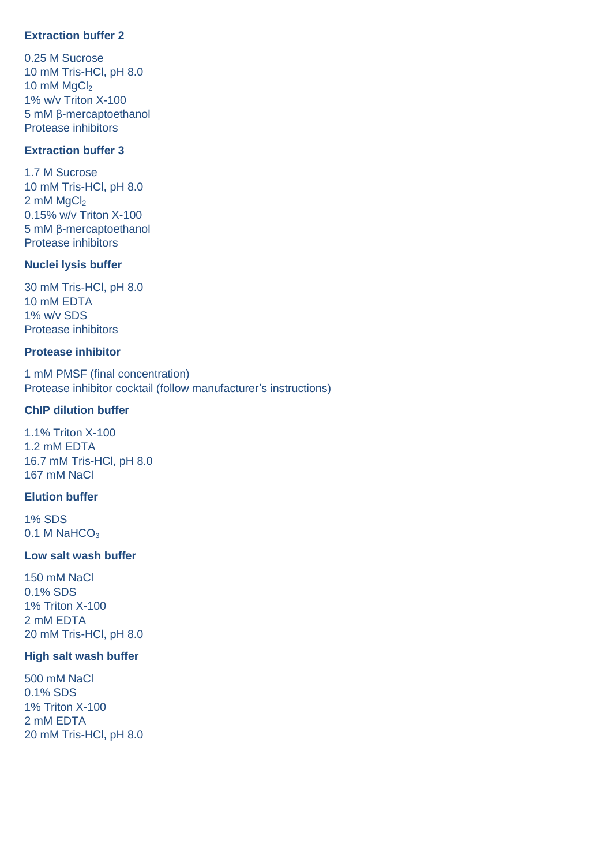### **Extraction buffer 2**

0.25 M Sucrose 10 mM Tris-HCl, pH 8.0 10  $mM$   $MqCl<sub>2</sub>$ 1% w/v Triton X-100 5 mM β-mercaptoethanol Protease inhibitors

### **Extraction buffer 3**

1.7 M Sucrose 10 mM Tris-HCl, pH 8.0  $2 \text{ mM } MgCl<sub>2</sub>$ 0.15% w/v Triton X-100 5 mM β-mercaptoethanol Protease inhibitors

### **Nuclei lysis buffer**

30 mM Tris-HCl, pH 8.0 10 mM EDTA 1% w/v SDS Protease inhibitors

#### **Protease inhibitor**

1 mM PMSF (final concentration) Protease inhibitor cocktail (follow manufacturer's instructions)

#### **ChIP dilution buffer**

1.1% Triton X-100 1.2 mM EDTA 16.7 mM Tris-HCl, pH 8.0 167 mM NaCl

#### **Elution buffer**

1% SDS  $0.1$  M NaHCO<sub>3</sub>

#### **Low salt wash buffer**

150 mM NaCl 0.1% SDS 1% Triton X-100 2 mM EDTA 20 mM Tris-HCl, pH 8.0

#### **High salt wash buffer**

500 mM NaCl 0.1% SDS 1% Triton X-100 2 mM EDTA 20 mM Tris-HCl, pH 8.0